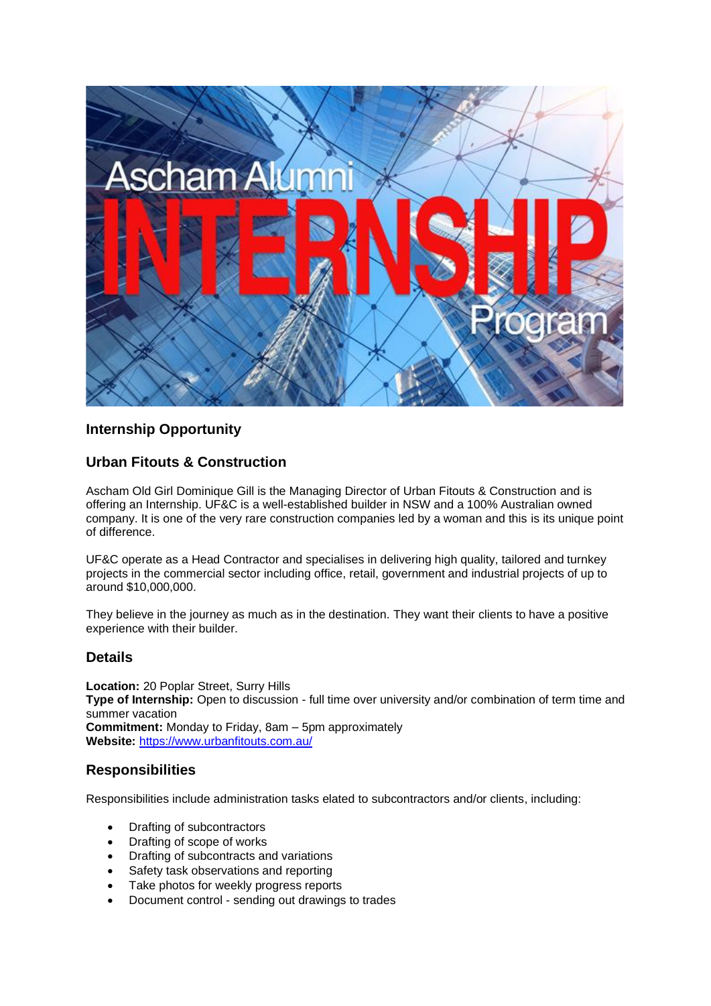

# **Internship Opportunity**

# **Urban Fitouts & Construction**

Ascham Old Girl Dominique Gill is the Managing Director of Urban Fitouts & Construction and is offering an Internship. UF&C is a well-established builder in NSW and a 100% Australian owned company. It is one of the very rare construction companies led by a woman and this is its unique point of difference.

UF&C operate as a Head Contractor and specialises in delivering high quality, tailored and turnkey projects in the commercial sector including office, retail, government and industrial projects of up to around \$10,000,000.

They believe in the journey as much as in the destination. They want their clients to have a positive experience with their builder.

#### **Details**

**Location:** 20 Poplar Street, Surry Hills **Type of Internship:** Open to discussion - full time over university and/or combination of term time and summer vacation **Commitment:** Monday to Friday, 8am – 5pm approximately **Website:** <https://www.urbanfitouts.com.au/>

# **Responsibilities**

Responsibilities include administration tasks elated to subcontractors and/or clients, including:

- Drafting of subcontractors
- Drafting of scope of works
- Drafting of subcontracts and variations
- Safety task observations and reporting
- Take photos for weekly progress reports
- Document control sending out drawings to trades